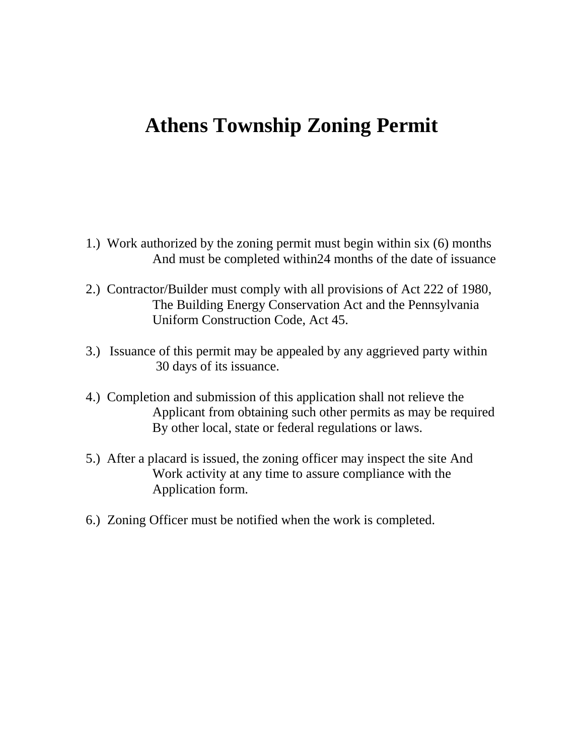# **Athens Township Zoning Permit**

- 1.) Work authorized by the zoning permit must begin within six (6) months And must be completed within24 months of the date of issuance
- 2.) Contractor/Builder must comply with all provisions of Act 222 of 1980, The Building Energy Conservation Act and the Pennsylvania Uniform Construction Code, Act 45.
- 3.) Issuance of this permit may be appealed by any aggrieved party within 30 days of its issuance.
- 4.) Completion and submission of this application shall not relieve the Applicant from obtaining such other permits as may be required By other local, state or federal regulations or laws.
- 5.) After a placard is issued, the zoning officer may inspect the site And Work activity at any time to assure compliance with the Application form.
- 6.) Zoning Officer must be notified when the work is completed.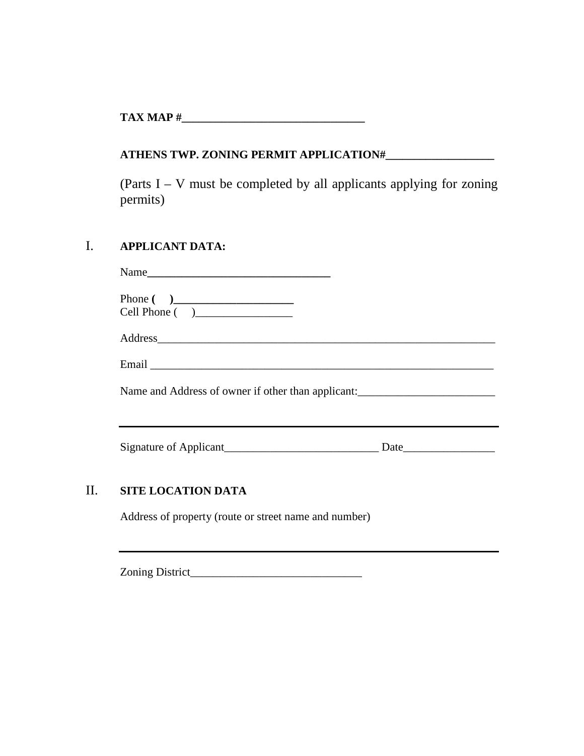**TAX MAP #** 

## **ATHENS TWP. ZONING PERMIT APPLICATION#\_\_\_\_\_\_\_\_\_\_\_\_\_\_\_\_\_\_\_**

(Parts I – V must be completed by all applicants applying for zoning permits)

## I. **APPLICANT DATA:**

| Phone $\begin{pmatrix} 0 & 1 \\ 0 & 1 \end{pmatrix}$<br>Cell Phone ( ) |  |  |
|------------------------------------------------------------------------|--|--|
| Address                                                                |  |  |
|                                                                        |  |  |
| Name and Address of owner if other than applicant:                     |  |  |
|                                                                        |  |  |
|                                                                        |  |  |
|                                                                        |  |  |

## II. **SITE LOCATION DATA**

Address of property (route or street name and number)

Zoning District\_\_\_\_\_\_\_\_\_\_\_\_\_\_\_\_\_\_\_\_\_\_\_\_\_\_\_\_\_\_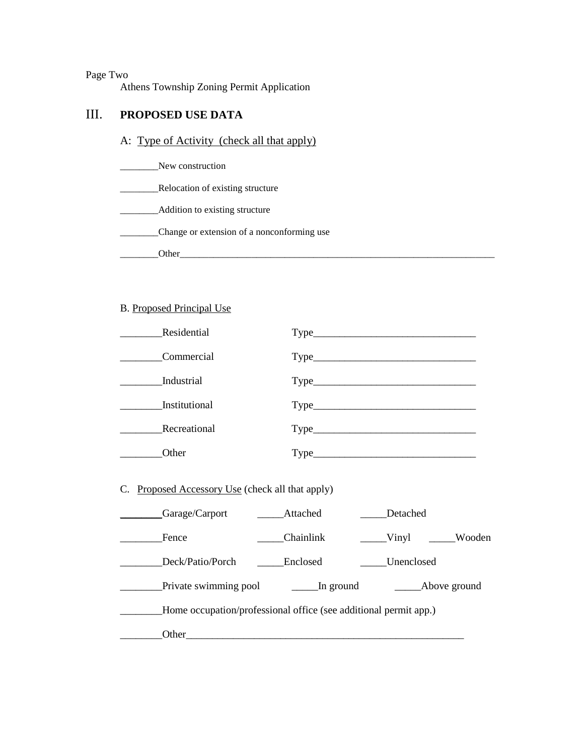Page Two

Athens Township Zoning Permit Application

#### III. **PROPOSED USE DATA**

A: Type of Activity (check all that apply)

\_\_\_\_\_\_\_\_New construction

**\_\_\_\_\_\_\_\_\_\_\_\_\_Relocation of existing structure** 

\_\_\_\_\_\_\_\_Addition to existing structure

\_\_\_\_\_\_\_\_Change or extension of a nonconforming use

\_\_\_\_\_\_\_\_Other\_\_\_\_\_\_\_\_\_\_\_\_\_\_\_\_\_\_\_\_\_\_\_\_\_\_\_\_\_\_\_\_\_\_\_\_\_\_\_\_\_\_\_\_\_\_\_\_\_\_\_\_\_\_\_\_\_\_\_\_\_\_\_\_\_\_

#### B. Proposed Principal Use

| Residential                                                      |           |                                                             |
|------------------------------------------------------------------|-----------|-------------------------------------------------------------|
| Commercial                                                       |           |                                                             |
| <b>Industrial</b>                                                |           |                                                             |
| Institutional                                                    |           |                                                             |
| Recreational                                                     |           |                                                             |
| <b>Other</b>                                                     |           |                                                             |
| C. Proposed Accessory Use (check all that apply)                 |           |                                                             |
| Garage/Carport ______Attached                                    |           | Detached                                                    |
| Fence                                                            | Chainlink | $\begin{array}{ccc} \text{Vinyl} & \text{wodo} \end{array}$ |
| Deck/Patio/Porch                                                 | Enclosed  | Unenclosed                                                  |
|                                                                  |           |                                                             |
| Home occupation/professional office (see additional permit app.) |           |                                                             |
|                                                                  |           |                                                             |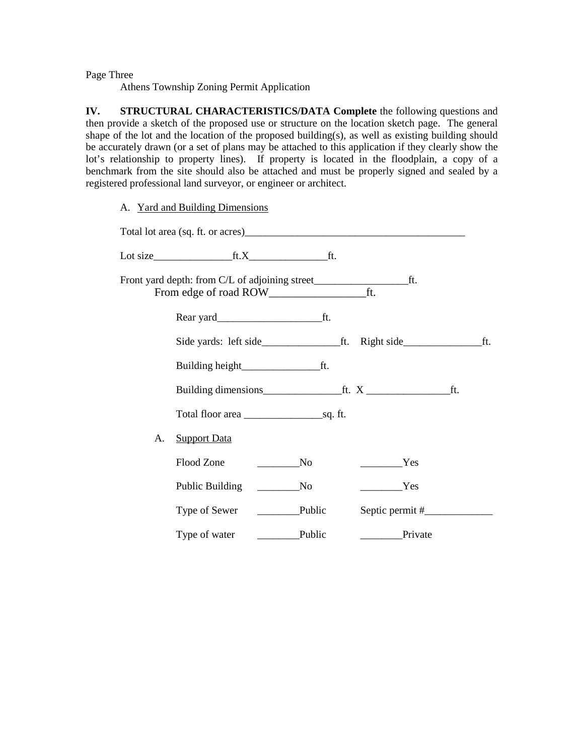Page Three

Athens Township Zoning Permit Application

**IV. STRUCTURAL CHARACTERISTICS/DATA Complete** the following questions and then provide a sketch of the proposed use or structure on the location sketch page. The general shape of the lot and the location of the proposed building(s), as well as existing building should be accurately drawn (or a set of plans may be attached to this application if they clearly show the lot's relationship to property lines). If property is located in the floodplain, a copy of a benchmark from the site should also be attached and must be properly signed and sealed by a registered professional land surveyor, or engineer or architect.

A. Yard and Building Dimensions

|    | Lot size $\qquad \qquad \text{ft} \, X \qquad \qquad \text{ft}.$ |               |         |  |
|----|------------------------------------------------------------------|---------------|---------|--|
|    |                                                                  |               | ft.     |  |
|    |                                                                  |               |         |  |
|    |                                                                  |               |         |  |
|    |                                                                  |               |         |  |
|    |                                                                  |               |         |  |
|    |                                                                  |               |         |  |
| А. | <b>Support Data</b>                                              |               |         |  |
|    | Flood Zone                                                       | No            | Yes     |  |
|    | Public Building                                                  | No            | Yes     |  |
|    | Type of Sewer                                                    |               |         |  |
|    | Type of water                                                    | $\Box$ Public | Private |  |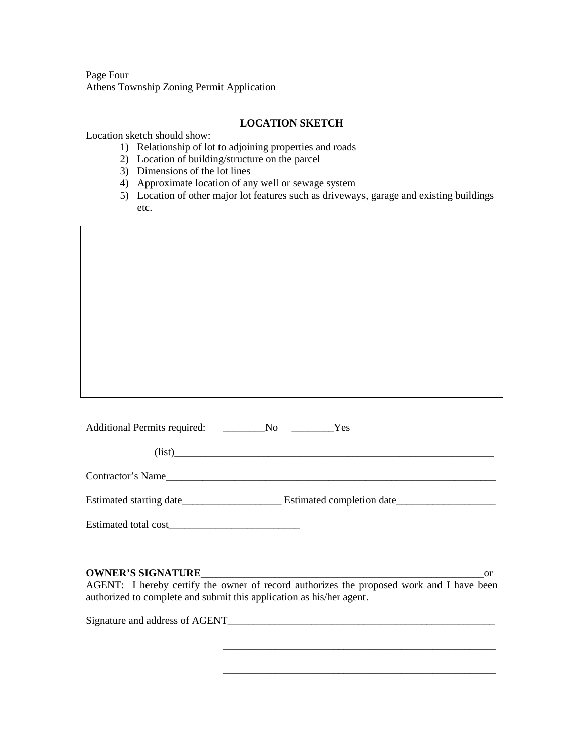Page Four Athens Township Zoning Permit Application

#### **LOCATION SKETCH**

Location sketch should show:

- 1) Relationship of lot to adjoining properties and roads
- 2) Location of building/structure on the parcel
- 3) Dimensions of the lot lines
- 4) Approximate location of any well or sewage system
- 5) Location of other major lot features such as driveways, garage and existing buildings etc.

| Contractor's Name |
|-------------------|
|                   |
|                   |

Estimated total cost\_\_\_\_\_\_\_\_\_\_\_\_\_\_\_\_\_\_\_\_\_\_\_\_\_

#### **OWNER'S SIGNATURE**\_\_\_\_\_\_\_\_\_\_\_\_\_\_\_\_\_\_\_\_\_\_\_\_\_\_\_\_\_\_\_\_\_\_\_\_\_\_\_\_\_\_\_\_\_\_\_\_\_\_\_\_\_\_or AGENT: I hereby certify the owner of record authorizes the proposed work and I have been authorized to complete and submit this application as his/her agent.

\_\_\_\_\_\_\_\_\_\_\_\_\_\_\_\_\_\_\_\_\_\_\_\_\_\_\_\_\_\_\_\_\_\_\_\_\_\_\_\_\_\_\_\_\_\_\_\_\_\_\_\_

\_\_\_\_\_\_\_\_\_\_\_\_\_\_\_\_\_\_\_\_\_\_\_\_\_\_\_\_\_\_\_\_\_\_\_\_\_\_\_\_\_\_\_\_\_\_\_\_\_\_\_\_

Signature and address of AGENT\_\_\_\_\_\_\_\_\_\_\_\_\_\_\_\_\_\_\_\_\_\_\_\_\_\_\_\_\_\_\_\_\_\_\_\_\_\_\_\_\_\_\_\_\_\_\_\_\_\_\_